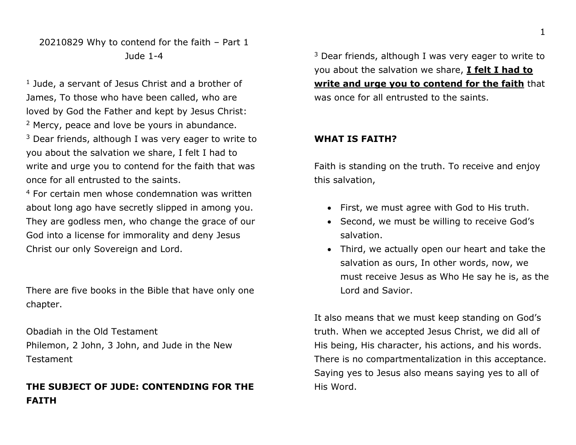## 20210829 Why to contend for the faith – Part 1 Jude 1-4

<sup>1</sup> Jude, a servant of Jesus Christ and a brother of James, To those who have been called, who are loved by God the Father and kept by Jesus Christ: <sup>2</sup> Mercy, peace and love be yours in abundance.  $3$  Dear friends, although I was very eager to write to you about the salvation we share, I felt I had to write and urge you to contend for the faith that was once for all entrusted to the saints.

<sup>4</sup> For certain men whose condemnation was written about long ago have secretly slipped in among you. They are godless men, who change the grace of our God into a license for immorality and deny Jesus Christ our only Sovereign and Lord.

There are five books in the Bible that have only one chapter.

Obadiah in the Old Testament Philemon, 2 John, 3 John, and Jude in the New Testament

# **THE SUBJECT OF JUDE: CONTENDING FOR THE FAITH**

 $3$  Dear friends, although I was very eager to write to you about the salvation we share, **I felt I had to write and urge you to contend for the faith** that was once for all entrusted to the saints.

## **WHAT IS FAITH?**

Faith is standing on the truth. To receive and enjoy this salvation,

- First, we must agree with God to His truth.
- Second, we must be willing to receive God's salvation.
- Third, we actually open our heart and take the salvation as ours, In other words, now, we must receive Jesus as Who He say he is, as the Lord and Savior.

It also means that we must keep standing on God's truth. When we accepted Jesus Christ, we did all of His being, His character, his actions, and his words. There is no compartmentalization in this acceptance. Saying yes to Jesus also means saying yes to all of His Word.